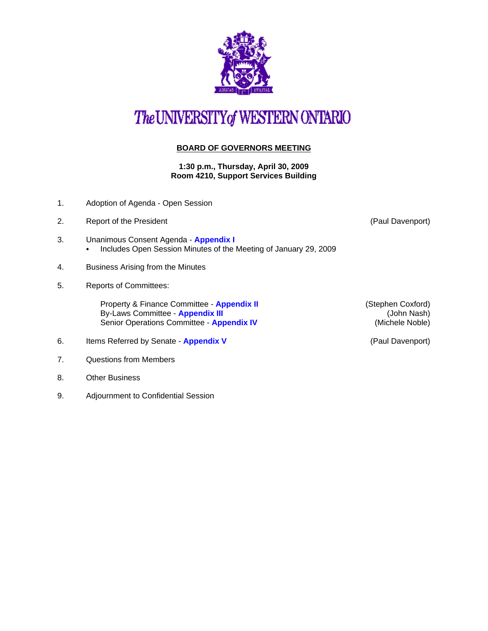

## The UNIVERSITY of WESTERN ONTARIO

## **BOARD OF GOVERNORS MEETING**

**1:30 p.m., Thursday, April 30, 2009 Room 4210, Support Services Building**

- 1. Adoption of Agenda Open Session
- 2. [Report of the President](http:\\www.uwo.ca\univsec\board\minutes\2009\r0904pd.pdf) **Contract Contract Contract Contract Contract Contract Contract Contract Contract Contract Contract Contract Contract Contract Contract Contract Contract Contract Contract Contract Contract Contr**
- 3. Unanimous Consent Agenda **[Appendix I](http://www.uwo.ca/univsec/board/minutes/2009/r0904consent.pdf)**  • Includes Open Session Minutes of the Meeting of January 29, 2009
- 4. Business Arising from the Minutes
- 5. Reports of Committees:

Property & Finance Committee - **[Appendix II](http://www.uwo.ca/univsec/board/minutes/2009/r0904pf.pdf)** (Stephen Coxford) By-Laws Committee - **[Appendix III](http://www.uwo.ca/univsec/board/minutes/2009/r0904bylaws.pdf)** (John Nash) Senior Operations Committee - **[Appendix IV](http://www.uwo.ca/univsec/board/minutes/2009/r0904srops.pdf) Committee 1 and 2018** (Michele Noble)

- 6. Items Referred by Senate **[Appendix V](http://www.uwo.ca/univsec/board/minutes/2009/r0904sen.pdf)** (Paul Davenport)
- 7. Questions from Members
- 8. Other Business
- 9. Adjournment to Confidential Session